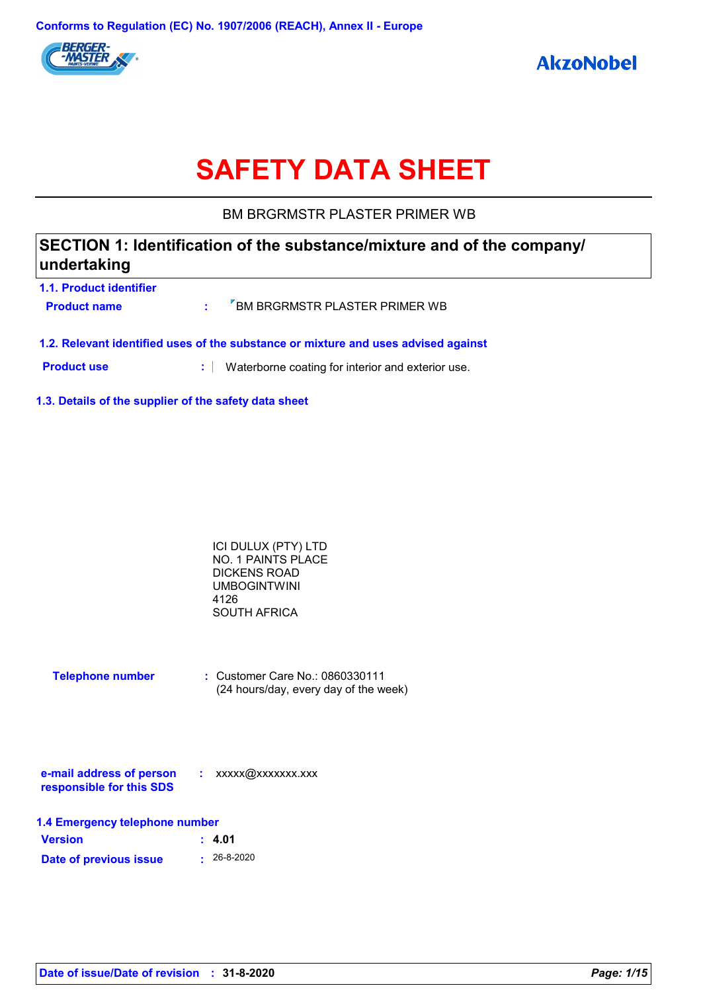

# **SAFETY DATA SHEET**

BM BRGRMSTR PLASTER PRIMER WB

# **SECTION 1: Identification of the substance/mixture and of the company/ undertaking**

| 1.1. Product identifier                                                            |  |                                 |
|------------------------------------------------------------------------------------|--|---------------------------------|
| <b>Product name</b>                                                                |  | F BM BRGRMSTR PLASTER PRIMER WB |
|                                                                                    |  |                                 |
|                                                                                    |  |                                 |
| 1.2. Relevant identified uses of the substance or mixture and uses advised against |  |                                 |
|                                                                                    |  |                                 |

**Product use <b>:** Waterborne coating for interior and exterior use.

**1.3. Details of the supplier of the safety data sheet**

| ICI DULUX (PTY) LTD |  |
|---------------------|--|
| NO. 1 PAINTS PLACE  |  |
| DICKENS ROAD        |  |
| <b>UMBOGINTWINI</b> |  |
| 4126                |  |
| <b>SOUTH AFRICA</b> |  |

| <b>Telephone number</b> | $\therefore$ Customer Care No.: 0860330111 |
|-------------------------|--------------------------------------------|
|                         | (24 hours/day, every day of the week)      |

| e-mail address of person | xxxxx@xxxxxxx.xxx |
|--------------------------|-------------------|
| responsible for this SDS |                   |

| 1.4 Emergency telephone number |                   |  |
|--------------------------------|-------------------|--|
| <b>Version</b>                 | : 4.01            |  |
| Date of previous issue         | $\cdot$ 26-8-2020 |  |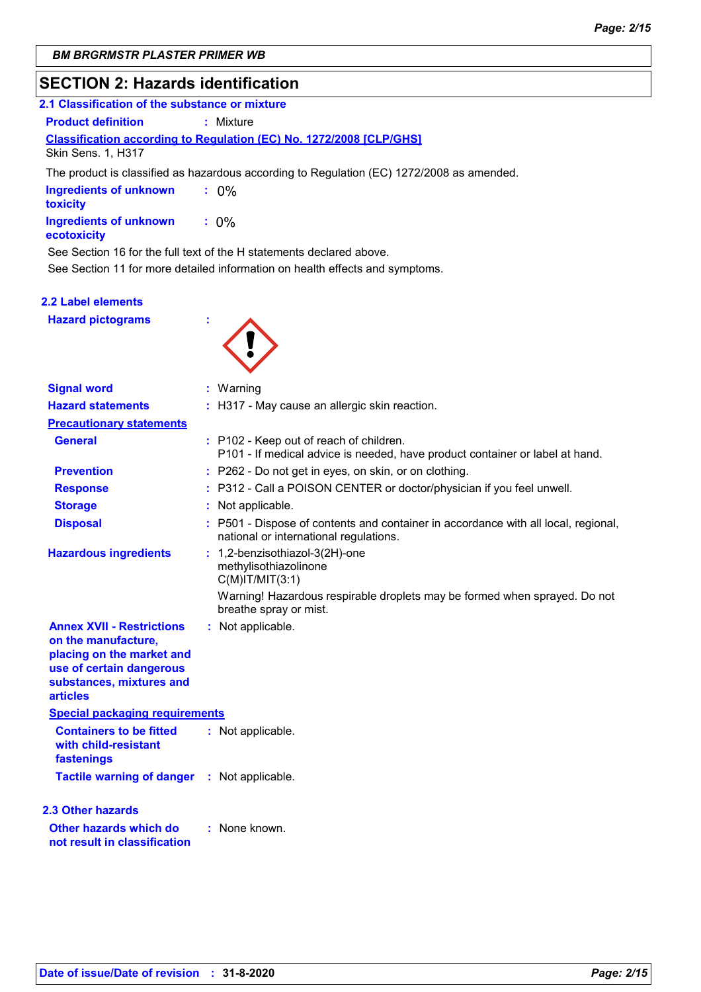# **SECTION 2: Hazards identification**

| 2.1 Classification of the substance or mixture                                                   |  |
|--------------------------------------------------------------------------------------------------|--|
| <b>Product definition</b><br>: Mixture                                                           |  |
| <b>Classification according to Regulation (EC) No. 1272/2008 [CLP/GHS]</b><br>Skin Sens. 1, H317 |  |
| The product is classified as hazardous according to Regulation (EC) 1272/2008 as amended.        |  |
| <b>Ingredients of unknown</b><br>$\therefore$ 0%<br>toxicity                                     |  |
| <b>Ingredients of unknown</b><br>$: 0\%$<br>ecotoxicity                                          |  |
| See Section 16 for the full text of the H statements declared above.                             |  |
| See Section 11 for more detailed information on health effects and symptoms.                     |  |

### **2.2 Label elements**

**Hazard pictograms :**



| <b>Signal word</b>                                                                                                                                              |    | $:$ Warning                                                                                                                  |
|-----------------------------------------------------------------------------------------------------------------------------------------------------------------|----|------------------------------------------------------------------------------------------------------------------------------|
| <b>Hazard statements</b>                                                                                                                                        |    | : H317 - May cause an allergic skin reaction.                                                                                |
| <b>Precautionary statements</b>                                                                                                                                 |    |                                                                                                                              |
| <b>General</b>                                                                                                                                                  |    | : P102 - Keep out of reach of children.<br>P101 - If medical advice is needed, have product container or label at hand.      |
| <b>Prevention</b>                                                                                                                                               |    | : P262 - Do not get in eyes, on skin, or on clothing.                                                                        |
| <b>Response</b>                                                                                                                                                 |    | P312 - Call a POISON CENTER or doctor/physician if you feel unwell.                                                          |
| <b>Storage</b>                                                                                                                                                  |    | : Not applicable.                                                                                                            |
| <b>Disposal</b>                                                                                                                                                 |    | : P501 - Dispose of contents and container in accordance with all local, regional,<br>national or international regulations. |
| <b>Hazardous ingredients</b>                                                                                                                                    | ÷. | 1,2-benzisothiazol-3(2H)-one<br>methylisothiazolinone<br>$C(M)$ IT/MIT $(3:1)$                                               |
|                                                                                                                                                                 |    | Warning! Hazardous respirable droplets may be formed when sprayed. Do not<br>breathe spray or mist.                          |
| <b>Annex XVII - Restrictions</b><br>on the manufacture,<br>placing on the market and<br>use of certain dangerous<br>substances, mixtures and<br><b>articles</b> |    | : Not applicable.                                                                                                            |
| <b>Special packaging requirements</b>                                                                                                                           |    |                                                                                                                              |
| <b>Containers to be fitted</b><br>with child-resistant<br>fastenings                                                                                            |    | : Not applicable.                                                                                                            |
| Tactile warning of danger : Not applicable.                                                                                                                     |    |                                                                                                                              |
| <b>2.3 Other hazards</b>                                                                                                                                        |    |                                                                                                                              |
| Other hazards which do<br>not result in classification                                                                                                          |    | : None known.                                                                                                                |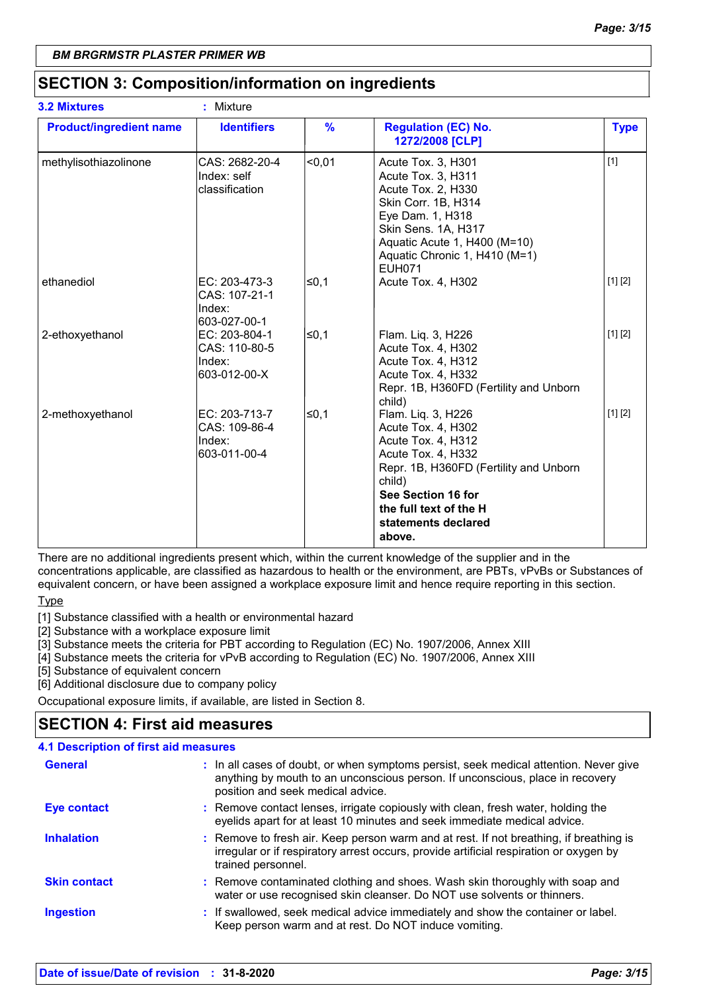# **SECTION 3: Composition/information on ingredients**

| <b>3.2 Mixtures</b>            | : Mixture                                                |               |                                                                                                                                                                                                                           |             |
|--------------------------------|----------------------------------------------------------|---------------|---------------------------------------------------------------------------------------------------------------------------------------------------------------------------------------------------------------------------|-------------|
| <b>Product/ingredient name</b> | <b>Identifiers</b>                                       | $\frac{9}{6}$ | <b>Regulation (EC) No.</b><br>1272/2008 [CLP]                                                                                                                                                                             | <b>Type</b> |
| methylisothiazolinone          | CAS: 2682-20-4<br>Index: self<br>classification          | $0,01$        | Acute Tox. 3, H301<br>Acute Tox. 3, H311<br>Acute Tox. 2, H330<br>Skin Corr. 1B, H314<br>Eye Dam. 1, H318<br>Skin Sens. 1A, H317<br>Aquatic Acute 1, H400 (M=10)<br>Aquatic Chronic 1, H410 (M=1)<br><b>EUH071</b>        | $[1]$       |
| ethanediol                     | EC: 203-473-3<br>CAS: 107-21-1<br>Index:<br>603-027-00-1 | l≤0.1         | Acute Tox. 4, H302                                                                                                                                                                                                        | [1] [2]     |
| 2-ethoxyethanol                | EC: 203-804-1<br>CAS: 110-80-5<br>Index:<br>603-012-00-X | l≤0,1         | Flam. Liq. 3, H226<br>Acute Tox. 4, H302<br>Acute Tox. 4, H312<br>Acute Tox. 4, H332<br>Repr. 1B, H360FD (Fertility and Unborn<br>child)                                                                                  | [1] [2]     |
| 2-methoxyethanol               | EC: 203-713-7<br>CAS: 109-86-4<br>Index:<br>603-011-00-4 | l≤0,1         | Flam. Liq. 3, H226<br>Acute Tox. 4, H302<br>Acute Tox. 4, H312<br>Acute Tox. 4, H332<br>Repr. 1B, H360FD (Fertility and Unborn<br>child)<br>See Section 16 for<br>the full text of the H<br>statements declared<br>above. | [1] [2]     |

There are no additional ingredients present which, within the current knowledge of the supplier and in the concentrations applicable, are classified as hazardous to health or the environment, are PBTs, vPvBs or Substances of equivalent concern, or have been assigned a workplace exposure limit and hence require reporting in this section.

**Type** 

[1] Substance classified with a health or environmental hazard

[2] Substance with a workplace exposure limit

[3] Substance meets the criteria for PBT according to Regulation (EC) No. 1907/2006, Annex XIII

[4] Substance meets the criteria for vPvB according to Regulation (EC) No. 1907/2006, Annex XIII

[5] Substance of equivalent concern

[6] Additional disclosure due to company policy

Occupational exposure limits, if available, are listed in Section 8.

# **SECTION 4: First aid measures**

### **4.1 Description of first aid measures**

| <b>General</b>      | : In all cases of doubt, or when symptoms persist, seek medical attention. Never give<br>anything by mouth to an unconscious person. If unconscious, place in recovery<br>position and seek medical advice. |
|---------------------|-------------------------------------------------------------------------------------------------------------------------------------------------------------------------------------------------------------|
| <b>Eye contact</b>  | : Remove contact lenses, irrigate copiously with clean, fresh water, holding the<br>eyelids apart for at least 10 minutes and seek immediate medical advice.                                                |
| <b>Inhalation</b>   | : Remove to fresh air. Keep person warm and at rest. If not breathing, if breathing is<br>irregular or if respiratory arrest occurs, provide artificial respiration or oxygen by<br>trained personnel.      |
| <b>Skin contact</b> | : Remove contaminated clothing and shoes. Wash skin thoroughly with soap and<br>water or use recognised skin cleanser. Do NOT use solvents or thinners.                                                     |
| <b>Ingestion</b>    | : If swallowed, seek medical advice immediately and show the container or label.<br>Keep person warm and at rest. Do NOT induce vomiting.                                                                   |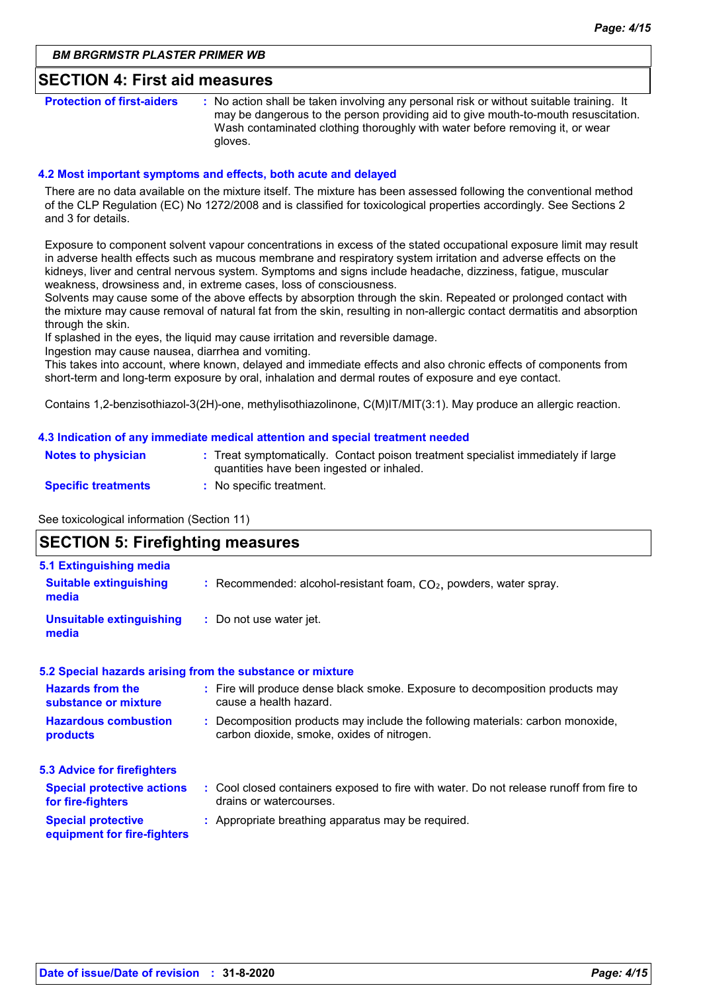### **SECTION 4: First aid measures**

**Protection of first-aiders** : No action shall be taken involving any personal risk or without suitable training. It may be dangerous to the person providing aid to give mouth-to-mouth resuscitation. Wash contaminated clothing thoroughly with water before removing it, or wear gloves.

### **4.2 Most important symptoms and effects, both acute and delayed**

There are no data available on the mixture itself. The mixture has been assessed following the conventional method of the CLP Regulation (EC) No 1272/2008 and is classified for toxicological properties accordingly. See Sections 2 and 3 for details.

Exposure to component solvent vapour concentrations in excess of the stated occupational exposure limit may result in adverse health effects such as mucous membrane and respiratory system irritation and adverse effects on the kidneys, liver and central nervous system. Symptoms and signs include headache, dizziness, fatigue, muscular weakness, drowsiness and, in extreme cases, loss of consciousness.

Solvents may cause some of the above effects by absorption through the skin. Repeated or prolonged contact with the mixture may cause removal of natural fat from the skin, resulting in non-allergic contact dermatitis and absorption through the skin.

If splashed in the eyes, the liquid may cause irritation and reversible damage.

Ingestion may cause nausea, diarrhea and vomiting.

This takes into account, where known, delayed and immediate effects and also chronic effects of components from short-term and long-term exposure by oral, inhalation and dermal routes of exposure and eye contact.

Contains 1,2-benzisothiazol-3(2H)-one, methylisothiazolinone, C(M)IT/MIT(3:1). May produce an allergic reaction.

### **4.3 Indication of any immediate medical attention and special treatment needed**

| <b>Notes to physician</b>  | : Treat symptomatically. Contact poison treatment specialist immediately if large<br>quantities have been ingested or inhaled. |
|----------------------------|--------------------------------------------------------------------------------------------------------------------------------|
| <b>Specific treatments</b> | : No specific treatment.                                                                                                       |

See toxicological information (Section 11)

## **SECTION 5: Firefighting measures**

| 5.1 Extinguishing media                                  |                                                                                                                              |
|----------------------------------------------------------|------------------------------------------------------------------------------------------------------------------------------|
| <b>Suitable extinguishing</b><br>media                   | : Recommended: alcohol-resistant foam, $CO2$ , powders, water spray.                                                         |
| <b>Unsuitable extinguishing</b><br>media                 | : Do not use water jet.                                                                                                      |
|                                                          | 5.2 Special hazards arising from the substance or mixture                                                                    |
| <b>Hazards from the</b><br>substance or mixture          | : Fire will produce dense black smoke. Exposure to decomposition products may<br>cause a health hazard.                      |
| <b>Hazardous combustion</b><br>products                  | : Decomposition products may include the following materials: carbon monoxide,<br>carbon dioxide, smoke, oxides of nitrogen. |
| 5.3 Advice for firefighters                              |                                                                                                                              |
| <b>Special protective actions</b><br>for fire-fighters   | : Cool closed containers exposed to fire with water. Do not release runoff from fire to<br>drains or watercourses.           |
| <b>Special protective</b><br>equipment for fire-fighters | : Appropriate breathing apparatus may be required.                                                                           |
|                                                          |                                                                                                                              |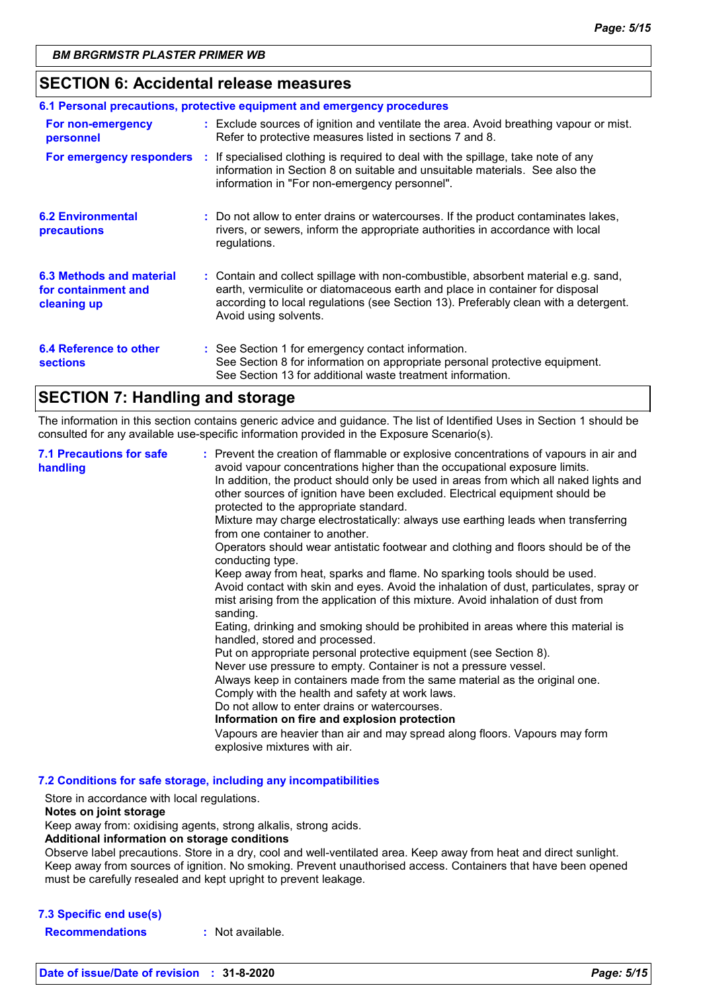### **SECTION 6: Accidental release measures**

| 6.1 Personal precautions, protective equipment and emergency procedures |  |                                                                                                                                                                                                                                                                                    |  |
|-------------------------------------------------------------------------|--|------------------------------------------------------------------------------------------------------------------------------------------------------------------------------------------------------------------------------------------------------------------------------------|--|
| For non-emergency<br>personnel                                          |  | : Exclude sources of ignition and ventilate the area. Avoid breathing vapour or mist.<br>Refer to protective measures listed in sections 7 and 8.                                                                                                                                  |  |
| For emergency responders                                                |  | : If specialised clothing is required to deal with the spillage, take note of any<br>information in Section 8 on suitable and unsuitable materials. See also the<br>information in "For non-emergency personnel".                                                                  |  |
| <b>6.2 Environmental</b><br>precautions                                 |  | : Do not allow to enter drains or watercourses. If the product contaminates lakes,<br>rivers, or sewers, inform the appropriate authorities in accordance with local<br>regulations.                                                                                               |  |
| 6.3 Methods and material<br>for containment and<br>cleaning up          |  | : Contain and collect spillage with non-combustible, absorbent material e.g. sand,<br>earth, vermiculite or diatomaceous earth and place in container for disposal<br>according to local regulations (see Section 13). Preferably clean with a detergent.<br>Avoid using solvents. |  |
| 6.4 Reference to other<br><b>sections</b>                               |  | : See Section 1 for emergency contact information.<br>See Section 8 for information on appropriate personal protective equipment.<br>See Section 13 for additional waste treatment information.                                                                                    |  |

# **SECTION 7: Handling and storage**

The information in this section contains generic advice and guidance. The list of Identified Uses in Section 1 should be consulted for any available use-specific information provided in the Exposure Scenario(s).

| <b>7.1 Precautions for safe</b><br>handling | : Prevent the creation of flammable or explosive concentrations of vapours in air and<br>avoid vapour concentrations higher than the occupational exposure limits.<br>In addition, the product should only be used in areas from which all naked lights and<br>other sources of ignition have been excluded. Electrical equipment should be<br>protected to the appropriate standard.<br>Mixture may charge electrostatically: always use earthing leads when transferring<br>from one container to another.<br>Operators should wear antistatic footwear and clothing and floors should be of the<br>conducting type.<br>Keep away from heat, sparks and flame. No sparking tools should be used.<br>Avoid contact with skin and eyes. Avoid the inhalation of dust, particulates, spray or<br>mist arising from the application of this mixture. Avoid inhalation of dust from<br>sanding.<br>Eating, drinking and smoking should be prohibited in areas where this material is<br>handled, stored and processed.<br>Put on appropriate personal protective equipment (see Section 8).<br>Never use pressure to empty. Container is not a pressure vessel.<br>Always keep in containers made from the same material as the original one.<br>Comply with the health and safety at work laws.<br>Do not allow to enter drains or watercourses.<br>Information on fire and explosion protection<br>Vapours are heavier than air and may spread along floors. Vapours may form<br>explosive mixtures with air. |
|---------------------------------------------|--------------------------------------------------------------------------------------------------------------------------------------------------------------------------------------------------------------------------------------------------------------------------------------------------------------------------------------------------------------------------------------------------------------------------------------------------------------------------------------------------------------------------------------------------------------------------------------------------------------------------------------------------------------------------------------------------------------------------------------------------------------------------------------------------------------------------------------------------------------------------------------------------------------------------------------------------------------------------------------------------------------------------------------------------------------------------------------------------------------------------------------------------------------------------------------------------------------------------------------------------------------------------------------------------------------------------------------------------------------------------------------------------------------------------------------------------------------------------------------------------------------|
|---------------------------------------------|--------------------------------------------------------------------------------------------------------------------------------------------------------------------------------------------------------------------------------------------------------------------------------------------------------------------------------------------------------------------------------------------------------------------------------------------------------------------------------------------------------------------------------------------------------------------------------------------------------------------------------------------------------------------------------------------------------------------------------------------------------------------------------------------------------------------------------------------------------------------------------------------------------------------------------------------------------------------------------------------------------------------------------------------------------------------------------------------------------------------------------------------------------------------------------------------------------------------------------------------------------------------------------------------------------------------------------------------------------------------------------------------------------------------------------------------------------------------------------------------------------------|

**7.2 Conditions for safe storage, including any incompatibilities**

Store in accordance with local regulations.

### **Notes on joint storage**

Keep away from: oxidising agents, strong alkalis, strong acids.

#### **Additional information on storage conditions**

Observe label precautions. Store in a dry, cool and well-ventilated area. Keep away from heat and direct sunlight. Keep away from sources of ignition. No smoking. Prevent unauthorised access. Containers that have been opened must be carefully resealed and kept upright to prevent leakage.

### **7.3 Specific end use(s)**

**Recommendations :** Not available.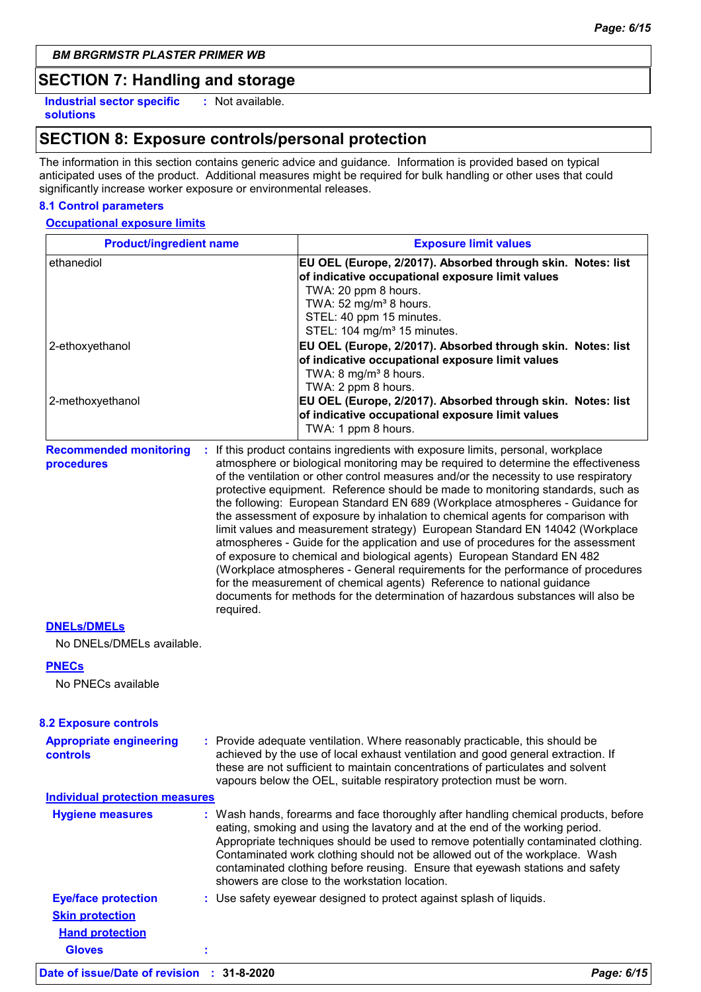### **SECTION 7: Handling and storage**

**Industrial sector specific : solutions**

: Not available.

# **SECTION 8: Exposure controls/personal protection**

The information in this section contains generic advice and guidance. Information is provided based on typical anticipated uses of the product. Additional measures might be required for bulk handling or other uses that could significantly increase worker exposure or environmental releases.

### **8.1 Control parameters**

### **Occupational exposure limits**

| <b>Product/ingredient name</b>                           |  | <b>Exposure limit values</b>                                                                                                                                                                                                                                                                                                                                                                                                                                                                                                                                                                                                                                                                                                                                                                                                                                                                                                                                                                                          |  |  |
|----------------------------------------------------------|--|-----------------------------------------------------------------------------------------------------------------------------------------------------------------------------------------------------------------------------------------------------------------------------------------------------------------------------------------------------------------------------------------------------------------------------------------------------------------------------------------------------------------------------------------------------------------------------------------------------------------------------------------------------------------------------------------------------------------------------------------------------------------------------------------------------------------------------------------------------------------------------------------------------------------------------------------------------------------------------------------------------------------------|--|--|
| ethanediol<br>2-ethoxyethanol                            |  | EU OEL (Europe, 2/2017). Absorbed through skin. Notes: list<br>of indicative occupational exposure limit values<br>TWA: 20 ppm 8 hours.<br>TWA: 52 mg/m <sup>3</sup> 8 hours.<br>STEL: 40 ppm 15 minutes.<br>STEL: 104 mg/m <sup>3</sup> 15 minutes.<br>EU OEL (Europe, 2/2017). Absorbed through skin. Notes: list                                                                                                                                                                                                                                                                                                                                                                                                                                                                                                                                                                                                                                                                                                   |  |  |
| 2-methoxyethanol                                         |  | of indicative occupational exposure limit values<br>TWA: 8 mg/m <sup>3</sup> 8 hours.<br>TWA: 2 ppm 8 hours.<br>EU OEL (Europe, 2/2017). Absorbed through skin. Notes: list<br>of indicative occupational exposure limit values<br>TWA: 1 ppm 8 hours.                                                                                                                                                                                                                                                                                                                                                                                                                                                                                                                                                                                                                                                                                                                                                                |  |  |
| <b>Recommended monitoring</b><br>procedures<br>required. |  | : If this product contains ingredients with exposure limits, personal, workplace<br>atmosphere or biological monitoring may be required to determine the effectiveness<br>of the ventilation or other control measures and/or the necessity to use respiratory<br>protective equipment. Reference should be made to monitoring standards, such as<br>the following: European Standard EN 689 (Workplace atmospheres - Guidance for<br>the assessment of exposure by inhalation to chemical agents for comparison with<br>limit values and measurement strategy) European Standard EN 14042 (Workplace<br>atmospheres - Guide for the application and use of procedures for the assessment<br>of exposure to chemical and biological agents) European Standard EN 482<br>(Workplace atmospheres - General requirements for the performance of procedures<br>for the measurement of chemical agents) Reference to national guidance<br>documents for methods for the determination of hazardous substances will also be |  |  |
| <b>DNELS/DMELS</b><br>No DNELs/DMELs available.          |  |                                                                                                                                                                                                                                                                                                                                                                                                                                                                                                                                                                                                                                                                                                                                                                                                                                                                                                                                                                                                                       |  |  |
| <b>PNECs</b><br>No PNECs available                       |  |                                                                                                                                                                                                                                                                                                                                                                                                                                                                                                                                                                                                                                                                                                                                                                                                                                                                                                                                                                                                                       |  |  |
| <b>8.2 Exposure controls</b>                             |  |                                                                                                                                                                                                                                                                                                                                                                                                                                                                                                                                                                                                                                                                                                                                                                                                                                                                                                                                                                                                                       |  |  |
| <b>Appropriate engineering</b><br>controls               |  | : Provide adequate ventilation. Where reasonably practicable, this should be<br>achieved by the use of local exhaust ventilation and good general extraction. If<br>these are not sufficient to maintain concentrations of particulates and solvent<br>vapours below the OEL, suitable respiratory protection must be worn.                                                                                                                                                                                                                                                                                                                                                                                                                                                                                                                                                                                                                                                                                           |  |  |
| <b>Individual protection measures</b>                    |  |                                                                                                                                                                                                                                                                                                                                                                                                                                                                                                                                                                                                                                                                                                                                                                                                                                                                                                                                                                                                                       |  |  |
| <b>Hygiene measures</b>                                  |  | : Wash hands, forearms and face thoroughly after handling chemical products, before<br>eating, smoking and using the lavatory and at the end of the working period.<br>Appropriate techniques should be used to remove potentially contaminated clothing.<br>Contaminated work clothing should not be allowed out of the workplace. Wash<br>contaminated clothing before reusing. Ensure that eyewash stations and safety<br>showers are close to the workstation location.                                                                                                                                                                                                                                                                                                                                                                                                                                                                                                                                           |  |  |
| <b>Eye/face protection</b>                               |  | : Use safety eyewear designed to protect against splash of liquids.                                                                                                                                                                                                                                                                                                                                                                                                                                                                                                                                                                                                                                                                                                                                                                                                                                                                                                                                                   |  |  |
| <b>Skin protection</b>                                   |  |                                                                                                                                                                                                                                                                                                                                                                                                                                                                                                                                                                                                                                                                                                                                                                                                                                                                                                                                                                                                                       |  |  |
| <b>Hand protection</b>                                   |  |                                                                                                                                                                                                                                                                                                                                                                                                                                                                                                                                                                                                                                                                                                                                                                                                                                                                                                                                                                                                                       |  |  |

**Gloves :**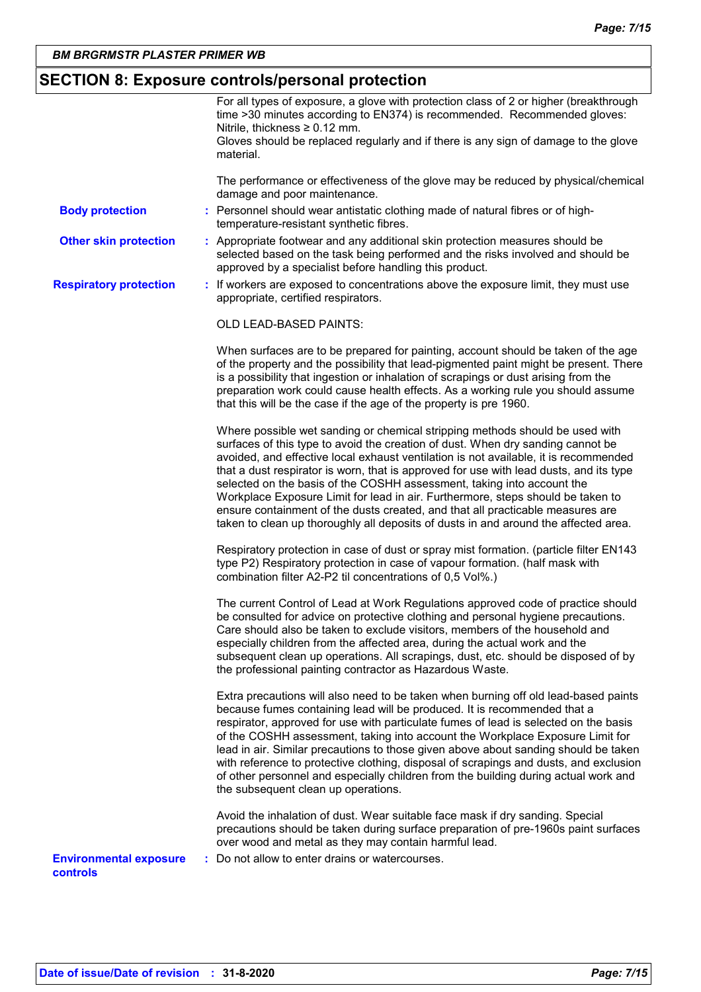# **SECTION 8: Exposure controls/personal protection**

|                                           | For all types of exposure, a glove with protection class of 2 or higher (breakthrough<br>time >30 minutes according to EN374) is recommended. Recommended gloves:<br>Nitrile, thickness $\geq 0.12$ mm.<br>Gloves should be replaced regularly and if there is any sign of damage to the glove<br>material.                                                                                                                                                                                                                                                                                                                                                                             |
|-------------------------------------------|-----------------------------------------------------------------------------------------------------------------------------------------------------------------------------------------------------------------------------------------------------------------------------------------------------------------------------------------------------------------------------------------------------------------------------------------------------------------------------------------------------------------------------------------------------------------------------------------------------------------------------------------------------------------------------------------|
|                                           | The performance or effectiveness of the glove may be reduced by physical/chemical<br>damage and poor maintenance.                                                                                                                                                                                                                                                                                                                                                                                                                                                                                                                                                                       |
| <b>Body protection</b>                    | : Personnel should wear antistatic clothing made of natural fibres or of high-<br>temperature-resistant synthetic fibres.                                                                                                                                                                                                                                                                                                                                                                                                                                                                                                                                                               |
| <b>Other skin protection</b>              | : Appropriate footwear and any additional skin protection measures should be<br>selected based on the task being performed and the risks involved and should be<br>approved by a specialist before handling this product.                                                                                                                                                                                                                                                                                                                                                                                                                                                               |
| <b>Respiratory protection</b>             | : If workers are exposed to concentrations above the exposure limit, they must use<br>appropriate, certified respirators.                                                                                                                                                                                                                                                                                                                                                                                                                                                                                                                                                               |
|                                           | OLD LEAD-BASED PAINTS:                                                                                                                                                                                                                                                                                                                                                                                                                                                                                                                                                                                                                                                                  |
|                                           | When surfaces are to be prepared for painting, account should be taken of the age<br>of the property and the possibility that lead-pigmented paint might be present. There<br>is a possibility that ingestion or inhalation of scrapings or dust arising from the<br>preparation work could cause health effects. As a working rule you should assume<br>that this will be the case if the age of the property is pre 1960.                                                                                                                                                                                                                                                             |
|                                           | Where possible wet sanding or chemical stripping methods should be used with<br>surfaces of this type to avoid the creation of dust. When dry sanding cannot be<br>avoided, and effective local exhaust ventilation is not available, it is recommended<br>that a dust respirator is worn, that is approved for use with lead dusts, and its type<br>selected on the basis of the COSHH assessment, taking into account the<br>Workplace Exposure Limit for lead in air. Furthermore, steps should be taken to<br>ensure containment of the dusts created, and that all practicable measures are<br>taken to clean up thoroughly all deposits of dusts in and around the affected area. |
|                                           | Respiratory protection in case of dust or spray mist formation. (particle filter EN143<br>type P2) Respiratory protection in case of vapour formation. (half mask with<br>combination filter A2-P2 til concentrations of 0,5 Vol%.)                                                                                                                                                                                                                                                                                                                                                                                                                                                     |
|                                           | The current Control of Lead at Work Regulations approved code of practice should<br>be consulted for advice on protective clothing and personal hygiene precautions.<br>Care should also be taken to exclude visitors, members of the household and<br>especially children from the affected area, during the actual work and the<br>subsequent clean up operations. All scrapings, dust, etc. should be disposed of by<br>the professional painting contractor as Hazardous Waste.                                                                                                                                                                                                     |
|                                           | Extra precautions will also need to be taken when burning off old lead-based paints<br>because fumes containing lead will be produced. It is recommended that a<br>respirator, approved for use with particulate fumes of lead is selected on the basis<br>of the COSHH assessment, taking into account the Workplace Exposure Limit for<br>lead in air. Similar precautions to those given above about sanding should be taken<br>with reference to protective clothing, disposal of scrapings and dusts, and exclusion<br>of other personnel and especially children from the building during actual work and<br>the subsequent clean up operations.                                  |
|                                           | Avoid the inhalation of dust. Wear suitable face mask if dry sanding. Special<br>precautions should be taken during surface preparation of pre-1960s paint surfaces<br>over wood and metal as they may contain harmful lead.                                                                                                                                                                                                                                                                                                                                                                                                                                                            |
| <b>Environmental exposure</b><br>controls | : Do not allow to enter drains or watercourses.                                                                                                                                                                                                                                                                                                                                                                                                                                                                                                                                                                                                                                         |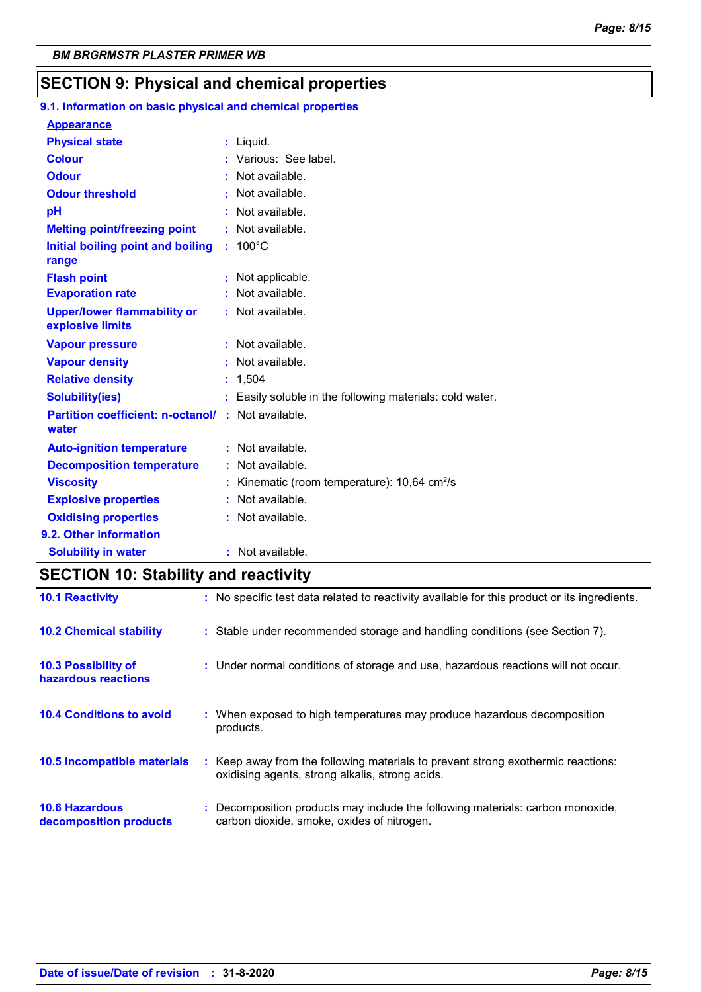## **SECTION 9: Physical and chemical properties**

#### 100°C **Initial boiling point and boiling : Physical state Melting point/freezing point range Vapour pressure Relative density Vapour density Solubility(ies)** Liquid. **: :** Not available. 1,504 **: :** Not available. **:** Not available. Easily soluble in the following materials: cold water. **: Odour** : Not available. **pH Colour Evaporation rate Auto-ignition temperature Flash point :** Not available. **:** Not available. **:** Not available. **Partition coefficient: n-octanol/ :** Not available. **:** Not available. **Viscosity Kinematic (room temperature): 10,64 cm<sup>2</sup>/s Viscosity Odour threshold water Upper/lower flammability or explosive limits Explosive properties :** Various: See label. **:** Not available. **:** Not available. **:** Not applicable. **Oxidising properties : Not available. 9.1. Information on basic physical and chemical properties Appearance 9.2. Other information Decomposition temperature :** Not available. **Solubility in water :** Not available.

### **SECTION 10: Stability and reactivity**

| <b>10.1 Reactivity</b>                            | : No specific test data related to reactivity available for this product or its ingredients.                                        |
|---------------------------------------------------|-------------------------------------------------------------------------------------------------------------------------------------|
| <b>10.2 Chemical stability</b>                    | : Stable under recommended storage and handling conditions (see Section 7).                                                         |
| <b>10.3 Possibility of</b><br>hazardous reactions | : Under normal conditions of storage and use, hazardous reactions will not occur.                                                   |
| <b>10.4 Conditions to avoid</b>                   | : When exposed to high temperatures may produce hazardous decomposition<br>products.                                                |
| <b>10.5 Incompatible materials</b>                | : Keep away from the following materials to prevent strong exothermic reactions:<br>oxidising agents, strong alkalis, strong acids. |
| <b>10.6 Hazardous</b><br>decomposition products   | : Decomposition products may include the following materials: carbon monoxide,<br>carbon dioxide, smoke, oxides of nitrogen.        |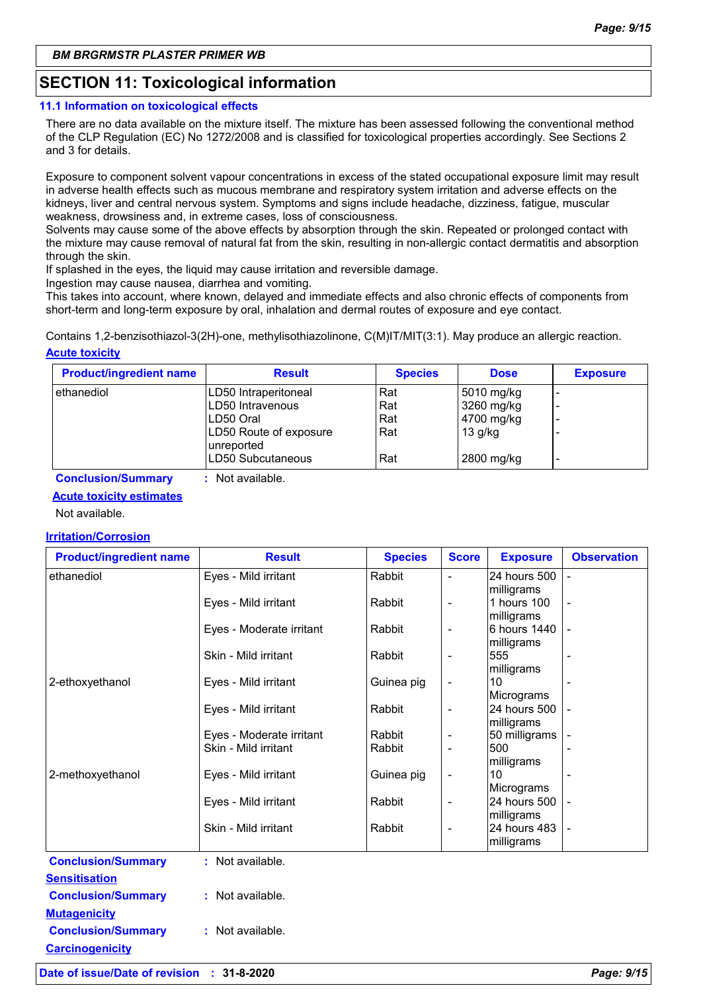# **SECTION 11: Toxicological information**

### **11.1 Information on toxicological effects**

There are no data available on the mixture itself. The mixture has been assessed following the conventional method of the CLP Regulation (EC) No 1272/2008 and is classified for toxicological properties accordingly. See Sections 2 and 3 for details.

Exposure to component solvent vapour concentrations in excess of the stated occupational exposure limit may result in adverse health effects such as mucous membrane and respiratory system irritation and adverse effects on the kidneys, liver and central nervous system. Symptoms and signs include headache, dizziness, fatigue, muscular weakness, drowsiness and, in extreme cases, loss of consciousness.

Solvents may cause some of the above effects by absorption through the skin. Repeated or prolonged contact with the mixture may cause removal of natural fat from the skin, resulting in non-allergic contact dermatitis and absorption through the skin.

If splashed in the eyes, the liquid may cause irritation and reversible damage.

Ingestion may cause nausea, diarrhea and vomiting.

This takes into account, where known, delayed and immediate effects and also chronic effects of components from short-term and long-term exposure by oral, inhalation and dermal routes of exposure and eye contact.

**Acute toxicity** Contains 1,2-benzisothiazol-3(2H)-one, methylisothiazolinone, C(M)IT/MIT(3:1). May produce an allergic reaction.

| <b>Product/ingredient name</b> | <b>Result</b>                        | <b>Species</b> | <b>Dose</b> | <b>Exposure</b> |
|--------------------------------|--------------------------------------|----------------|-------------|-----------------|
| ethanediol                     | LD50 Intraperitoneal                 | Rat            | 5010 mg/kg  | -               |
|                                | LD50 Intravenous                     | Rat            | 3260 mg/kg  | -               |
|                                | ILD50 Oral                           | Rat            | 4700 mg/kg  | -               |
|                                | LD50 Route of exposure<br>unreported | Rat            | $13$ g/kg   |                 |
|                                | LD50 Subcutaneous                    | Rat            | 2800 mg/kg  | -               |

**Conclusion/Summary :** Not available.

### **Acute toxicity estimates**

Not available.

### **Irritation/Corrosion**

| <b>Product/ingredient name</b> | <b>Result</b>            | <b>Species</b> | <b>Score</b>             | <b>Exposure</b>   | <b>Observation</b> |
|--------------------------------|--------------------------|----------------|--------------------------|-------------------|--------------------|
| ethanediol                     | Eyes - Mild irritant     | Rabbit         | $\overline{a}$           | 24 hours 500      |                    |
|                                |                          |                |                          | milligrams        |                    |
|                                | Eyes - Mild irritant     | Rabbit         | -                        | 1 hours 100       |                    |
|                                |                          |                |                          | milligrams        |                    |
|                                | Eyes - Moderate irritant | Rabbit         | $\overline{\phantom{0}}$ | 6 hours 1440      |                    |
|                                | Skin - Mild irritant     | Rabbit         |                          | milligrams<br>555 |                    |
|                                |                          |                |                          | milligrams        |                    |
| 2-ethoxyethanol                | Eyes - Mild irritant     | Guinea pig     |                          | 10                |                    |
|                                |                          |                |                          | Micrograms        |                    |
|                                | Eyes - Mild irritant     | Rabbit         | $\overline{\phantom{0}}$ | 24 hours 500      |                    |
|                                |                          |                |                          | milligrams        |                    |
|                                | Eyes - Moderate irritant | Rabbit         | $\overline{\phantom{0}}$ | 50 milligrams     |                    |
|                                | Skin - Mild irritant     | Rabbit         |                          | 500               |                    |
|                                |                          |                |                          | milligrams        |                    |
| 2-methoxyethanol               | Eyes - Mild irritant     | Guinea pig     | -                        | 10<br>Micrograms  |                    |
|                                | Eyes - Mild irritant     | Rabbit         | $\overline{\phantom{0}}$ | 24 hours 500      |                    |
|                                |                          |                |                          | milligrams        |                    |
|                                | Skin - Mild irritant     | Rabbit         | $\overline{\phantom{0}}$ | 24 hours 483      |                    |
|                                |                          |                |                          | milligrams        |                    |
| <b>Conclusion/Summary</b>      | : Not available.         |                |                          |                   |                    |
| <b>Sensitisation</b>           |                          |                |                          |                   |                    |
| <b>Conclusion/Summary</b>      | : Not available.         |                |                          |                   |                    |
| <b>Mutagenicity</b>            |                          |                |                          |                   |                    |
| <b>Conclusion/Summary</b>      | : Not available.         |                |                          |                   |                    |
| <b>Carcinogenicity</b>         |                          |                |                          |                   |                    |
|                                |                          |                |                          |                   |                    |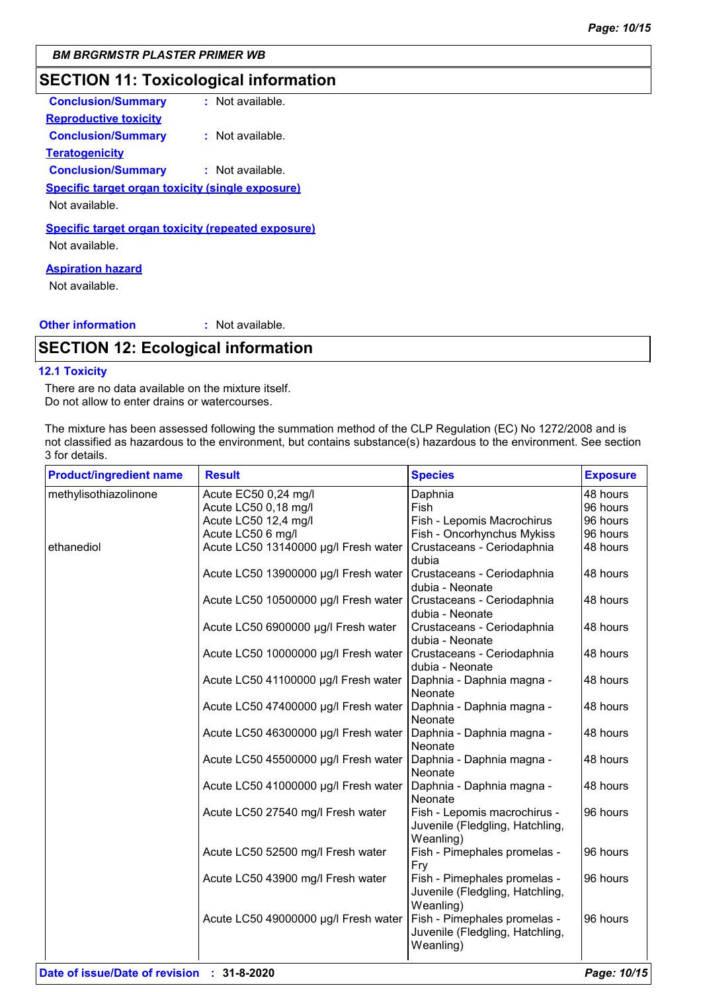# **SECTION 11: Toxicological information**

| <b>Conclusion/Summary</b>                                                   | $:$ Not available. |
|-----------------------------------------------------------------------------|--------------------|
| <b>Reproductive toxicity</b>                                                |                    |
| <b>Conclusion/Summary</b>                                                   | $:$ Not available. |
| <b>Teratogenicity</b>                                                       |                    |
| <b>Conclusion/Summary</b>                                                   | : Not available.   |
| <b>Specific target organ toxicity (single exposure)</b>                     |                    |
| Not available.                                                              |                    |
| <b>Specific target organ toxicity (repeated exposure)</b><br>Not available. |                    |
| <b>Aspiration hazard</b>                                                    |                    |

Not available.

### **Other information :**

: Not available.

# **SECTION 12: Ecological information**

#### **12.1 Toxicity**

There are no data available on the mixture itself. Do not allow to enter drains or watercourses.

The mixture has been assessed following the summation method of the CLP Regulation (EC) No 1272/2008 and is not classified as hazardous to the environment, but contains substance(s) hazardous to the environment. See section 3 for details.

| <b>Product/ingredient name</b> | <b>Result</b>                        | <b>Species</b>                                                               | <b>Exposure</b> |
|--------------------------------|--------------------------------------|------------------------------------------------------------------------------|-----------------|
| methylisothiazolinone          | Acute EC50 0,24 mg/l                 | Daphnia                                                                      | 48 hours        |
|                                | Acute LC50 0,18 mg/l                 | Fish                                                                         | 96 hours        |
|                                | Acute LC50 12,4 mg/l                 | Fish - Lepomis Macrochirus                                                   | 96 hours        |
|                                | Acute LC50 6 mg/l                    | Fish - Oncorhynchus Mykiss                                                   | 96 hours        |
| ethanediol                     | Acute LC50 13140000 µg/l Fresh water | Crustaceans - Ceriodaphnia<br>dubia                                          | 48 hours        |
|                                | Acute LC50 13900000 µg/l Fresh water | Crustaceans - Ceriodaphnia<br>dubia - Neonate                                | 48 hours        |
|                                | Acute LC50 10500000 µg/l Fresh water | Crustaceans - Ceriodaphnia<br>dubia - Neonate                                | 48 hours        |
|                                | Acute LC50 6900000 µg/l Fresh water  | Crustaceans - Ceriodaphnia<br>dubia - Neonate                                | 48 hours        |
|                                | Acute LC50 10000000 µg/l Fresh water | Crustaceans - Ceriodaphnia<br>dubia - Neonate                                | 48 hours        |
|                                | Acute LC50 41100000 µg/l Fresh water | Daphnia - Daphnia magna -<br>Neonate                                         | 48 hours        |
|                                | Acute LC50 47400000 µg/l Fresh water | Daphnia - Daphnia magna -<br><b>Neonate</b>                                  | 48 hours        |
|                                | Acute LC50 46300000 µg/l Fresh water | Daphnia - Daphnia magna -<br>Neonate                                         | 48 hours        |
|                                | Acute LC50 45500000 µg/l Fresh water | Daphnia - Daphnia magna -<br>Neonate                                         | 48 hours        |
|                                | Acute LC50 41000000 µg/l Fresh water | Daphnia - Daphnia magna -<br>Neonate                                         | 48 hours        |
|                                | Acute LC50 27540 mg/l Fresh water    | Fish - Lepomis macrochirus -<br>Juvenile (Fledgling, Hatchling,<br>Weanling) | 96 hours        |
|                                | Acute LC50 52500 mg/l Fresh water    | Fish - Pimephales promelas -<br>Fry                                          | 96 hours        |
|                                | Acute LC50 43900 mg/l Fresh water    | Fish - Pimephales promelas -<br>Juvenile (Fledgling, Hatchling,<br>Weanling) | 96 hours        |
|                                | Acute LC50 49000000 µg/l Fresh water | Fish - Pimephales promelas -<br>Juvenile (Fledgling, Hatchling,<br>Weanling) | 96 hours        |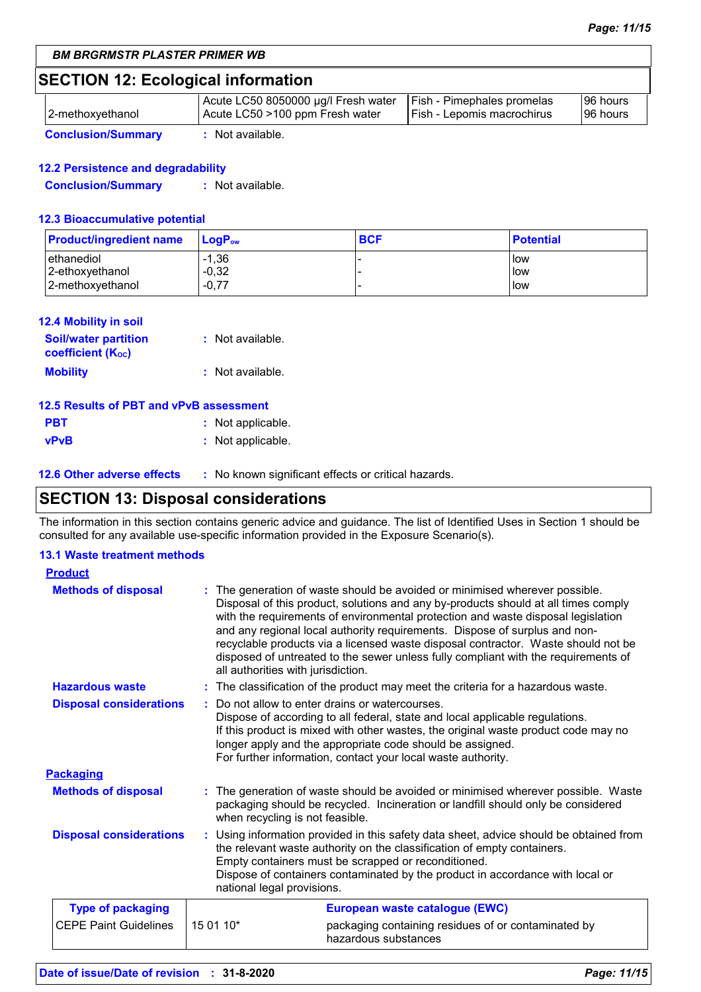# **SECTION 12: Ecological information**

| 2-methoxyethanol          | Acute LC50 8050000 µg/l Fresh water<br>Acute LC50 >100 ppm Fresh water | <b>Fish - Pimephales promelas</b><br>Fish - Lepomis macrochirus | 96 hours<br>196 hours |
|---------------------------|------------------------------------------------------------------------|-----------------------------------------------------------------|-----------------------|
| <b>Conclusion/Summary</b> | Not available.                                                         |                                                                 |                       |

### **12.2 Persistence and degradability**

**Conclusion/Summary :** Not available.

### **12.3 Bioaccumulative potential**

| <b>Product/ingredient name</b> | $LoaPow$ | <b>BCF</b> | <b>Potential</b> |
|--------------------------------|----------|------------|------------------|
| l ethanediol                   | $-1,36$  |            | low              |
| 2-ethoxyethanol                | $-0,32$  |            | low              |
| 2-methoxyethanol               | $-0.77$  |            | low              |

#### **12.4 Mobility in soil**

| <b>Soil/water partition</b><br><b>coefficient</b> (K <sub>oc</sub> ) | : Not available. |
|----------------------------------------------------------------------|------------------|
| <b>Mobility</b>                                                      | : Not available. |

| 12.5 Results of PBT and vPvB assessment |                   |  |  |
|-----------------------------------------|-------------------|--|--|
| <b>PBT</b>                              | : Not applicable. |  |  |
| <b>vPvB</b>                             | : Not applicable. |  |  |

**12.6 Other adverse effects** : No known significant effects or critical hazards.

# **SECTION 13: Disposal considerations**

The information in this section contains generic advice and guidance. The list of Identified Uses in Section 1 should be consulted for any available use-specific information provided in the Exposure Scenario(s).

### **13.1 Waste treatment methods**

| <b>Product</b>                 |           |                                                                                                                                                                                                                                                                                                                                                                                                                                                                                                                                                    |
|--------------------------------|-----------|----------------------------------------------------------------------------------------------------------------------------------------------------------------------------------------------------------------------------------------------------------------------------------------------------------------------------------------------------------------------------------------------------------------------------------------------------------------------------------------------------------------------------------------------------|
| <b>Methods of disposal</b>     |           | The generation of waste should be avoided or minimised wherever possible.<br>Disposal of this product, solutions and any by-products should at all times comply<br>with the requirements of environmental protection and waste disposal legislation<br>and any regional local authority requirements. Dispose of surplus and non-<br>recyclable products via a licensed waste disposal contractor. Waste should not be<br>disposed of untreated to the sewer unless fully compliant with the requirements of<br>all authorities with jurisdiction. |
| <b>Hazardous waste</b>         |           | : The classification of the product may meet the criteria for a hazardous waste.                                                                                                                                                                                                                                                                                                                                                                                                                                                                   |
| <b>Disposal considerations</b> |           | : Do not allow to enter drains or watercourses.<br>Dispose of according to all federal, state and local applicable regulations.<br>If this product is mixed with other wastes, the original waste product code may no<br>longer apply and the appropriate code should be assigned.<br>For further information, contact your local waste authority.                                                                                                                                                                                                 |
| <b>Packaging</b>               |           |                                                                                                                                                                                                                                                                                                                                                                                                                                                                                                                                                    |
| <b>Methods of disposal</b>     |           | : The generation of waste should be avoided or minimised wherever possible. Waste<br>packaging should be recycled. Incineration or landfill should only be considered<br>when recycling is not feasible.                                                                                                                                                                                                                                                                                                                                           |
| <b>Disposal considerations</b> |           | Using information provided in this safety data sheet, advice should be obtained from<br>the relevant waste authority on the classification of empty containers.<br>Empty containers must be scrapped or reconditioned.<br>Dispose of containers contaminated by the product in accordance with local or<br>national legal provisions.                                                                                                                                                                                                              |
| <b>Type of packaging</b>       |           | European waste catalogue (EWC)                                                                                                                                                                                                                                                                                                                                                                                                                                                                                                                     |
| <b>CEPE Paint Guidelines</b>   | 15 01 10* | packaging containing residues of or contaminated by<br>hazardous substances                                                                                                                                                                                                                                                                                                                                                                                                                                                                        |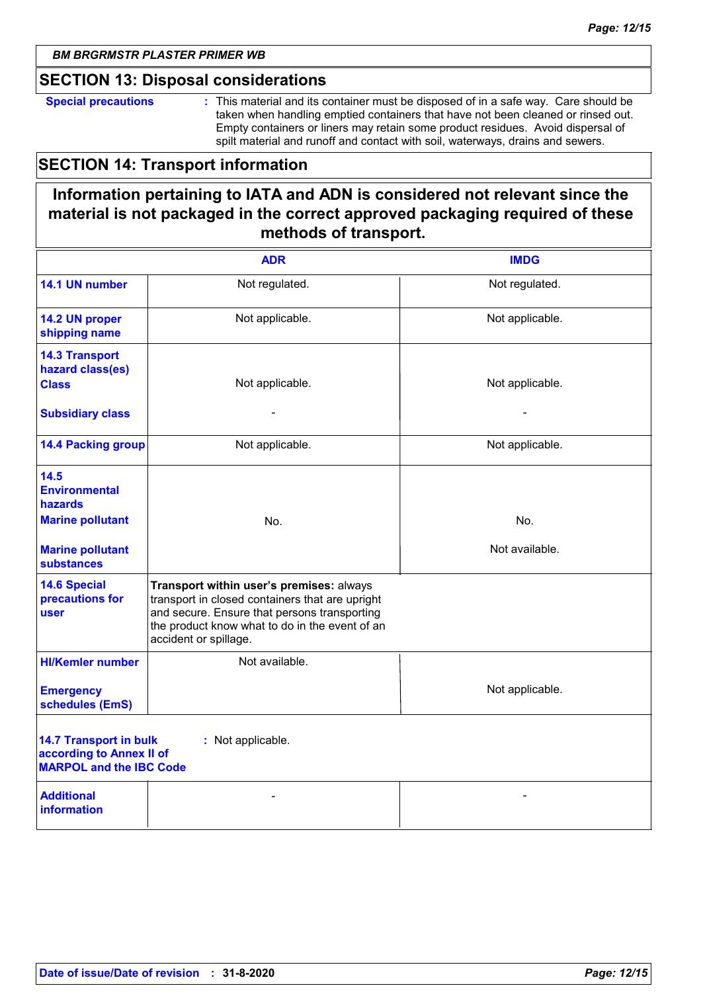### **SECTION 13: Disposal considerations**

**Special precautions :** This material and its container must be disposed of in a safe way. Care should be taken when handling emptied containers that have not been cleaned or rinsed out. Empty containers or liners may retain some product residues. Avoid dispersal of spilt material and runoff and contact with soil, waterways, drains and sewers.

## **SECTION 14: Transport information**

# **Information pertaining to IATA and ADN is considered not relevant since the material is not packaged in the correct approved packaging required of these methods of transport.**

|                                                                                                                  | <b>ADR</b>                                                                                                                                                                                                             | <b>IMDG</b>     |
|------------------------------------------------------------------------------------------------------------------|------------------------------------------------------------------------------------------------------------------------------------------------------------------------------------------------------------------------|-----------------|
| 14.1 UN number                                                                                                   | Not regulated.                                                                                                                                                                                                         | Not regulated.  |
| 14.2 UN proper<br>shipping name                                                                                  | Not applicable.                                                                                                                                                                                                        | Not applicable. |
| <b>14.3 Transport</b><br>hazard class(es)<br><b>Class</b>                                                        | Not applicable.                                                                                                                                                                                                        | Not applicable. |
| <b>Subsidiary class</b>                                                                                          |                                                                                                                                                                                                                        |                 |
| <b>14.4 Packing group</b>                                                                                        | Not applicable.                                                                                                                                                                                                        | Not applicable. |
| 14.5<br><b>Environmental</b><br>hazards                                                                          |                                                                                                                                                                                                                        |                 |
| <b>Marine pollutant</b>                                                                                          | No.                                                                                                                                                                                                                    | No.             |
| <b>Marine pollutant</b><br><b>substances</b>                                                                     |                                                                                                                                                                                                                        | Not available.  |
| <b>14.6 Special</b><br>precautions for<br>user                                                                   | Transport within user's premises: always<br>transport in closed containers that are upright<br>and secure. Ensure that persons transporting<br>the product know what to do in the event of an<br>accident or spillage. |                 |
| <b>HI/Kemler number</b>                                                                                          | Not available.                                                                                                                                                                                                         |                 |
| <b>Emergency</b><br>schedules (EmS)                                                                              |                                                                                                                                                                                                                        | Not applicable. |
| <b>14.7 Transport in bulk</b><br>: Not applicable.<br>according to Annex II of<br><b>MARPOL and the IBC Code</b> |                                                                                                                                                                                                                        |                 |
| <b>Additional</b><br><b>information</b>                                                                          |                                                                                                                                                                                                                        |                 |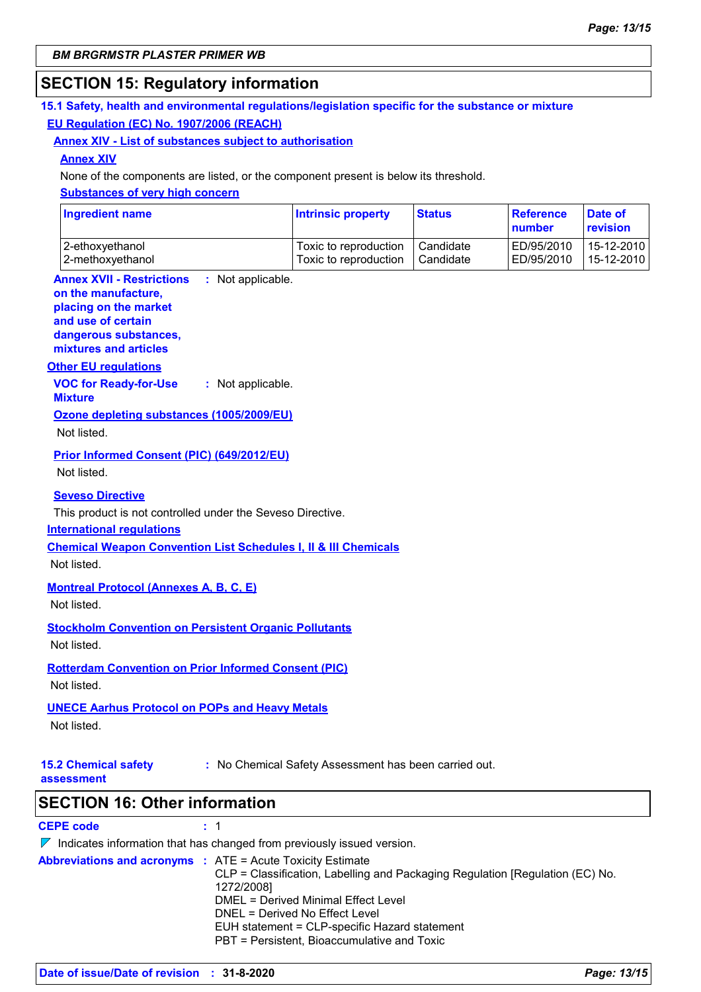### **SECTION 15: Regulatory information**

### **15.1 Safety, health and environmental regulations/legislation specific for the substance or mixture EU Regulation (EC) No. 1907/2006 (REACH)**

### **Annex XIV - List of substances subject to authorisation**

#### **Annex XIV**

None of the components are listed, or the component present is below its threshold.

### **Substances of very high concern**

| <b>Ingredient name</b> | <b>Intrinsic property</b> | <b>Status</b> | Reference<br><b>number</b> | Date of<br>revision |
|------------------------|---------------------------|---------------|----------------------------|---------------------|
| 2-ethoxyethanol        | Toxic to reproduction     | Candidate     | ED/95/2010                 | 15-12-2010          |
| 2-methoxyethanol       | Toxic to reproduction     | Candidate     | ED/95/2010                 | 15-12-2010          |

#### **Annex XVII - Restrictions on the manufacture,** : Not applicable.

### **placing on the market**

**and use of certain dangerous substances,**

**mixtures and articles**

### **Other EU regulations**

**VOC for Ready-for-Use Mixture :** Not applicable.

## **Ozone depleting substances (1005/2009/EU)**

Not listed.

**Prior Informed Consent (PIC) (649/2012/EU)**

Not listed.

### **Seveso Directive**

This product is not controlled under the Seveso Directive.

### **International regulations**

**Chemical Weapon Convention List Schedules I, II & III Chemicals**

Not listed.

### **Montreal Protocol (Annexes A, B, C, E)**

Not listed.

**Stockholm Convention on Persistent Organic Pollutants**

Not listed.

# **Rotterdam Convention on Prior Informed Consent (PIC)**

Not listed.

### **UNECE Aarhus Protocol on POPs and Heavy Metals**

Not listed.

**15.2 Chemical safety** 

**:** No Chemical Safety Assessment has been carried out.

**assessment**

**SECTION 16: Other information**

### **CEPE code :** 1

 $\nabla$  Indicates information that has changed from previously issued version. **Abbreviations and acronyms :** ATE = Acute Toxicity Estimate CLP = Classification, Labelling and Packaging Regulation [Regulation (EC) No. 1272/2008] DMEL = Derived Minimal Effect Level DNEL = Derived No Effect Level EUH statement = CLP-specific Hazard statement PBT = Persistent, Bioaccumulative and Toxic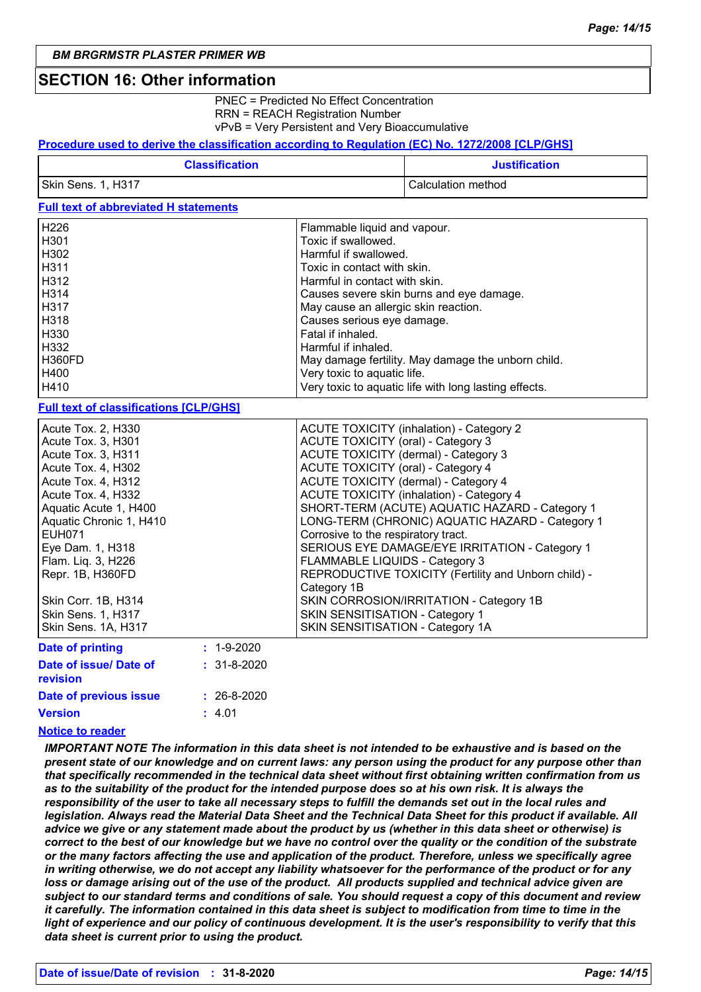### **SECTION 16: Other information**

PNEC = Predicted No Effect Concentration RRN = REACH Registration Number vPvB = Very Persistent and Very Bioaccumulative

### **Procedure used to derive the classification according to Regulation (EC) No. 1272/2008 [CLP/GHS]**

| <b>Classification</b> | <b>Justification</b> |
|-----------------------|----------------------|
| Skin Sens. 1, H317    | Calculation method   |

### **Full text of abbreviated H statements**

| H <sub>226</sub> | Flammable liquid and vapour.                          |
|------------------|-------------------------------------------------------|
| H <sub>301</sub> | Toxic if swallowed.                                   |
| H302             | Harmful if swallowed.                                 |
| H311             | Toxic in contact with skin.                           |
| H312             | Harmful in contact with skin.                         |
| H314             | Causes severe skin burns and eye damage.              |
| H317             | May cause an allergic skin reaction.                  |
| H318             | Causes serious eye damage.                            |
| H330             | Fatal if inhaled.                                     |
| H332             | Harmful if inhaled.                                   |
| H360FD           | May damage fertility. May damage the unborn child.    |
| H400             | Very toxic to aquatic life.                           |
| H410             | Very toxic to aquatic life with long lasting effects. |

#### **Full text of classifications [CLP/GHS]**

| Acute Tox. 2, H330                  | <b>ACUTE TOXICITY (inhalation) - Category 2</b>      |
|-------------------------------------|------------------------------------------------------|
| Acute Tox. 3, H301                  | ACUTE TOXICITY (oral) - Category 3                   |
| Acute Tox. 3, H311                  | ACUTE TOXICITY (dermal) - Category 3                 |
| Acute Tox. 4, H302                  | ACUTE TOXICITY (oral) - Category 4                   |
| Acute Tox. 4, H312                  | ACUTE TOXICITY (dermal) - Category 4                 |
| Acute Tox. 4, H332                  | <b>ACUTE TOXICITY (inhalation) - Category 4</b>      |
| Aquatic Acute 1, H400               | SHORT-TERM (ACUTE) AQUATIC HAZARD - Category 1       |
| Aquatic Chronic 1, H410             | LONG-TERM (CHRONIC) AQUATIC HAZARD - Category 1      |
| <b>EUH071</b>                       | Corrosive to the respiratory tract.                  |
| Eye Dam. 1, H318                    | SERIOUS EYE DAMAGE/EYE IRRITATION - Category 1       |
| Flam. Lig. 3, H226                  | FLAMMABLE LIQUIDS - Category 3                       |
| Repr. 1B, H360FD                    | REPRODUCTIVE TOXICITY (Fertility and Unborn child) - |
|                                     | Category 1B                                          |
| Skin Corr. 1B, H314                 | SKIN CORROSION/IRRITATION - Category 1B              |
| <b>Skin Sens. 1, H317</b>           | SKIN SENSITISATION - Category 1                      |
| Skin Sens. 1A, H317                 | SKIN SENSITISATION - Category 1A                     |
| $\cdot$ 4 0.000<br>Data of neinting |                                                      |

| <b>Date of printing</b>            | $: 1 - 9 - 2020$  |
|------------------------------------|-------------------|
| Date of issue/ Date of<br>revision | $: 31 - 8 - 2020$ |
| Date of previous issue             | $: 26 - 8 - 2020$ |
| <b>Version</b>                     | : 4.01            |

### **Notice to reader**

*IMPORTANT NOTE The information in this data sheet is not intended to be exhaustive and is based on the present state of our knowledge and on current laws: any person using the product for any purpose other than that specifically recommended in the technical data sheet without first obtaining written confirmation from us as to the suitability of the product for the intended purpose does so at his own risk. It is always the responsibility of the user to take all necessary steps to fulfill the demands set out in the local rules and legislation. Always read the Material Data Sheet and the Technical Data Sheet for this product if available. All advice we give or any statement made about the product by us (whether in this data sheet or otherwise) is correct to the best of our knowledge but we have no control over the quality or the condition of the substrate or the many factors affecting the use and application of the product. Therefore, unless we specifically agree in writing otherwise, we do not accept any liability whatsoever for the performance of the product or for any loss or damage arising out of the use of the product. All products supplied and technical advice given are subject to our standard terms and conditions of sale. You should request a copy of this document and review it carefully. The information contained in this data sheet is subject to modification from time to time in the light of experience and our policy of continuous development. It is the user's responsibility to verify that this data sheet is current prior to using the product.*